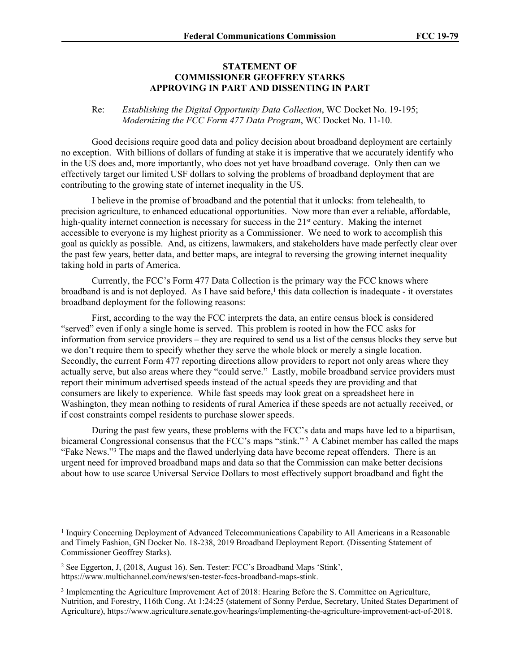## **STATEMENT OF COMMISSIONER GEOFFREY STARKS APPROVING IN PART AND DISSENTING IN PART**

## Re: *Establishing the Digital Opportunity Data Collection*, WC Docket No. 19-195; *Modernizing the FCC Form 477 Data Program*, WC Docket No. 11-10.

Good decisions require good data and policy decision about broadband deployment are certainly no exception. With billions of dollars of funding at stake it is imperative that we accurately identify who in the US does and, more importantly, who does not yet have broadband coverage. Only then can we effectively target our limited USF dollars to solving the problems of broadband deployment that are contributing to the growing state of internet inequality in the US.

I believe in the promise of broadband and the potential that it unlocks: from telehealth, to precision agriculture, to enhanced educational opportunities. Now more than ever a reliable, affordable, high-quality internet connection is necessary for success in the  $21<sup>st</sup>$  century. Making the internet accessible to everyone is my highest priority as a Commissioner. We need to work to accomplish this goal as quickly as possible. And, as citizens, lawmakers, and stakeholders have made perfectly clear over the past few years, better data, and better maps, are integral to reversing the growing internet inequality taking hold in parts of America.

Currently, the FCC's Form 477 Data Collection is the primary way the FCC knows where broadband is and is not deployed. As I have said before,<sup>1</sup> this data collection is inadequate - it overstates broadband deployment for the following reasons:

First, according to the way the FCC interprets the data, an entire census block is considered "served" even if only a single home is served. This problem is rooted in how the FCC asks for information from service providers – they are required to send us a list of the census blocks they serve but we don't require them to specify whether they serve the whole block or merely a single location. Secondly, the current Form 477 reporting directions allow providers to report not only areas where they actually serve, but also areas where they "could serve." Lastly, mobile broadband service providers must report their minimum advertised speeds instead of the actual speeds they are providing and that consumers are likely to experience. While fast speeds may look great on a spreadsheet here in Washington, they mean nothing to residents of rural America if these speeds are not actually received, or if cost constraints compel residents to purchase slower speeds.

During the past few years, these problems with the FCC's data and maps have led to a bipartisan, bicameral Congressional consensus that the FCC's maps "stink."<sup>2</sup> A Cabinet member has called the maps "Fake News."<sup>3</sup> The maps and the flawed underlying data have become repeat offenders. There is an urgent need for improved broadband maps and data so that the Commission can make better decisions about how to use scarce Universal Service Dollars to most effectively support broadband and fight the

<sup>&</sup>lt;sup>1</sup> Inquiry Concerning Deployment of Advanced Telecommunications Capability to All Americans in a Reasonable and Timely Fashion, GN Docket No. 18-238, 2019 Broadband Deployment Report. (Dissenting Statement of Commissioner Geoffrey Starks).

<sup>2</sup> See Eggerton, J, (2018, August 16). Sen. Tester: FCC's Broadband Maps 'Stink', https://www.multichannel.com/news/sen-tester-fccs-broadband-maps-stink.

<sup>&</sup>lt;sup>3</sup> Implementing the Agriculture Improvement Act of 2018: Hearing Before the S. Committee on Agriculture, Nutrition, and Forestry, 116th Cong. At 1:24:25 (statement of Sonny Perdue, Secretary, United States Department of Agriculture), https://www.agriculture.senate.gov/hearings/implementing-the-agriculture-improvement-act-of-2018.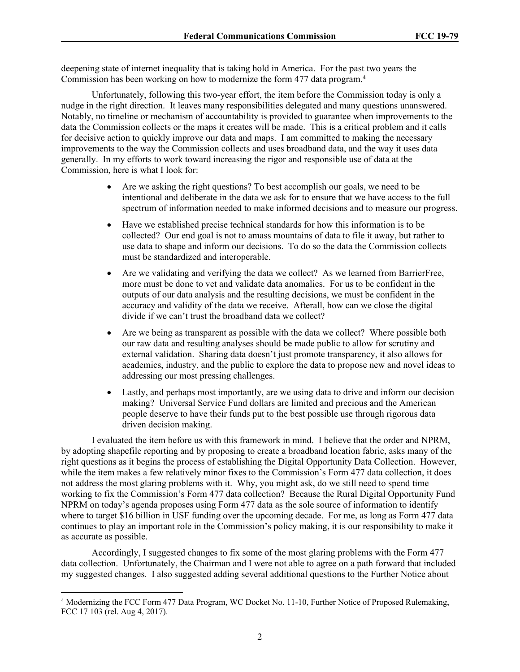deepening state of internet inequality that is taking hold in America. For the past two years the Commission has been working on how to modernize the form 477 data program.<sup>4</sup>

Unfortunately, following this two-year effort, the item before the Commission today is only a nudge in the right direction. It leaves many responsibilities delegated and many questions unanswered. Notably, no timeline or mechanism of accountability is provided to guarantee when improvements to the data the Commission collects or the maps it creates will be made. This is a critical problem and it calls for decisive action to quickly improve our data and maps. I am committed to making the necessary improvements to the way the Commission collects and uses broadband data, and the way it uses data generally. In my efforts to work toward increasing the rigor and responsible use of data at the Commission, here is what I look for:

- Are we asking the right questions? To best accomplish our goals, we need to be intentional and deliberate in the data we ask for to ensure that we have access to the full spectrum of information needed to make informed decisions and to measure our progress.
- Have we established precise technical standards for how this information is to be collected? Our end goal is not to amass mountains of data to file it away, but rather to use data to shape and inform our decisions. To do so the data the Commission collects must be standardized and interoperable.
- Are we validating and verifying the data we collect? As we learned from BarrierFree, more must be done to vet and validate data anomalies. For us to be confident in the outputs of our data analysis and the resulting decisions, we must be confident in the accuracy and validity of the data we receive. Afterall, how can we close the digital divide if we can't trust the broadband data we collect?
- Are we being as transparent as possible with the data we collect? Where possible both our raw data and resulting analyses should be made public to allow for scrutiny and external validation. Sharing data doesn't just promote transparency, it also allows for academics, industry, and the public to explore the data to propose new and novel ideas to addressing our most pressing challenges.
- Lastly, and perhaps most importantly, are we using data to drive and inform our decision making? Universal Service Fund dollars are limited and precious and the American people deserve to have their funds put to the best possible use through rigorous data driven decision making.

I evaluated the item before us with this framework in mind. I believe that the order and NPRM, by adopting shapefile reporting and by proposing to create a broadband location fabric, asks many of the right questions as it begins the process of establishing the Digital Opportunity Data Collection. However, while the item makes a few relatively minor fixes to the Commission's Form 477 data collection, it does not address the most glaring problems with it. Why, you might ask, do we still need to spend time working to fix the Commission's Form 477 data collection? Because the Rural Digital Opportunity Fund NPRM on today's agenda proposes using Form 477 data as the sole source of information to identify where to target \$16 billion in USF funding over the upcoming decade. For me, as long as Form 477 data continues to play an important role in the Commission's policy making, it is our responsibility to make it as accurate as possible.

Accordingly, I suggested changes to fix some of the most glaring problems with the Form 477 data collection. Unfortunately, the Chairman and I were not able to agree on a path forward that included my suggested changes. I also suggested adding several additional questions to the Further Notice about

<sup>4</sup> Modernizing the FCC Form 477 Data Program, WC Docket No. 11-10, Further Notice of Proposed Rulemaking, FCC 17 103 (rel. Aug 4, 2017).